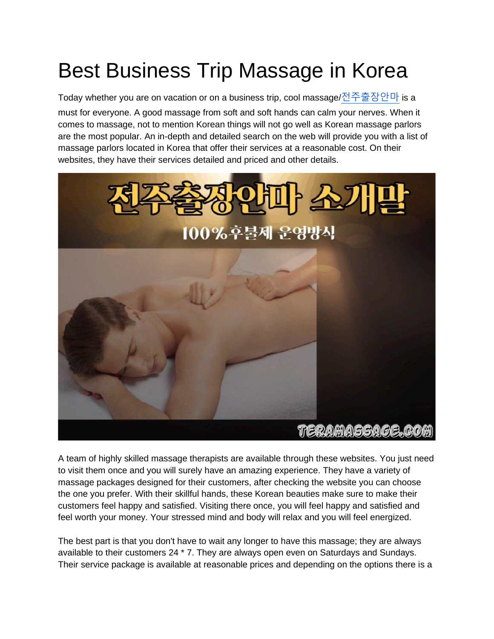## Best Business Trip Massage in Korea

Today whether you are on vacation or on a business trip, cool massage/[전주출장안마](https://teramassage.com/) is a must for everyone. A good massage from soft and soft hands can calm your nerves. When it comes to massage, not to mention Korean things will not go well as Korean massage parlors are the most popular. An in-depth and detailed search on the web will provide you with a list of massage parlors located in Korea that offer their services at a reasonable cost. On their websites, they have their services detailed and priced and other details.



A team of highly skilled massage therapists are available through these websites. You just need to visit them once and you will surely have an amazing experience. They have a variety of massage packages designed for their customers, after checking the website you can choose the one you prefer. With their skillful hands, these Korean beauties make sure to make their customers feel happy and satisfied. Visiting there once, you will feel happy and satisfied and feel worth your money. Your stressed mind and body will relax and you will feel energized.

The best part is that you don't have to wait any longer to have this massage; they are always available to their customers 24 \* 7. They are always open even on Saturdays and Sundays. Their service package is available at reasonable prices and depending on the options there is a